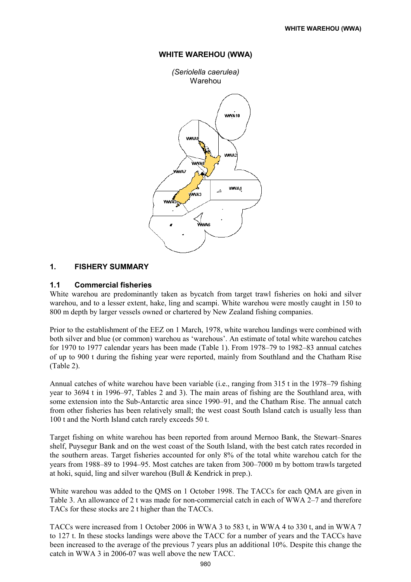

### WHITE WAREHOU (WWA)

### 1. FISHERY SUMMARY

### 1.1 Commercial fisheries

White warehou are predominantly taken as bycatch from target trawl fisheries on hoki and silver warehou, and to a lesser extent, hake, ling and scampi. White warehou were mostly caught in 150 to 800 m depth by larger vessels owned or chartered by New Zealand fishing companies.

Prior to the establishment of the EEZ on 1 March, 1978, white warehou landings were combined with both silver and blue (or common) warehou as 'warehous'. An estimate of total white warehou catches for 1970 to 1977 calendar years has been made (Table 1). From 1978–79 to 1982–83 annual catches of up to 900 t during the fishing year were reported, mainly from Southland and the Chatham Rise (Table 2).

Annual catches of white warehou have been variable (i.e., ranging from 315 t in the 1978–79 fishing year to 3694 t in 1996–97, Tables 2 and 3). The main areas of fishing are the Southland area, with some extension into the Sub-Antarctic area since 1990–91, and the Chatham Rise. The annual catch from other fisheries has been relatively small; the west coast South Island catch is usually less than 100 t and the North Island catch rarely exceeds 50 t.

Target fishing on white warehou has been reported from around Mernoo Bank, the Stewart–Snares shelf, Puysegur Bank and on the west coast of the South Island, with the best catch rates recorded in the southern areas. Target fisheries accounted for only 8% of the total white warehou catch for the years from 1988–89 to 1994–95. Most catches are taken from 300–7000 m by bottom trawls targeted at hoki, squid, ling and silver warehou (Bull & Kendrick in prep.).

White warehou was added to the QMS on 1 October 1998. The TACCs for each QMA are given in Table 3. An allowance of 2 t was made for non-commercial catch in each of WWA 2–7 and therefore TACs for these stocks are 2 t higher than the TACCs.

TACCs were increased from 1 October 2006 in WWA 3 to 583 t, in WWA 4 to 330 t, and in WWA 7 to 127 t. In these stocks landings were above the TACC for a number of years and the TACCs have been increased to the average of the previous 7 years plus an additional 10%. Despite this change the catch in WWA 3 in 2006-07 was well above the new TACC.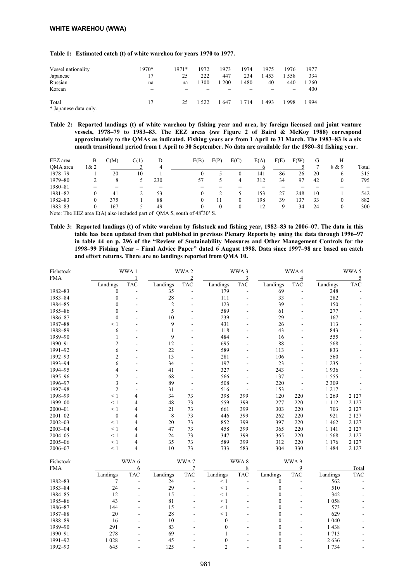#### Table 1: Estimated catch (t) of white warehou for years 1970 to 1977.

| Vessel nationality             | $1970*$ | $1971*$ | 1972    | 1973 | 1974    | 1975 | 1976 | 1977 |
|--------------------------------|---------|---------|---------|------|---------|------|------|------|
| Japanese                       | 17      | 25      | 222     | 447  | 234     | 1453 | 1558 | 334  |
| Russian                        | na      | na      | 300     | 200  | 1480    | 40   | 440  | 260  |
| Korean                         | -       |         |         |      |         |      |      | 400  |
| Total<br>* Japanese data only. | 17      | 25      | 1 5 2 2 | 1647 | 1 7 1 4 | 1493 | 1998 | 1994 |

Table 2: Reported landings (t) of white warehou by fishing year and area, by foreign licensed and joint venture vessels, 1978–79 to 1983–83. The EEZ areas (see Figure 2 of Baird & McKoy 1988) correspond approximately to the QMAs as indicated. Fishing years are from 1 April to 31 March. The 1983–83 is a six month transitional period from 1 April to 30 September. No data are available for the 1980–81 fishing year.

| EEZ area        | В    | C(M)            | C(1) |                             | E(B)             | E(P) | E(C)         | E(A) | F(E) | F(W) | G  | Н     |       |
|-----------------|------|-----------------|------|-----------------------------|------------------|------|--------------|------|------|------|----|-------|-------|
| OMA area        | 1& 2 |                 |      | 4                           |                  |      |              |      |      |      |    | 8 & 9 | Total |
| 1978-79         |      | 20              | 10   |                             |                  |      |              | 141  | 86   | 26   | 20 | O     | 315   |
| 1979-80         |      |                 |      | 230                         |                  |      | 4            | 312  | 34   | 97   | 42 |       | 795   |
| 1980-81         |      |                 |      |                             |                  |      |              |      |      |      |    |       |       |
| $1981 - 82$     |      | 41              |      | 53                          |                  |      |              | 153  | 27   | 248  | 10 |       | 542   |
| 1982-83         |      | 375             |      | 88                          |                  |      | 0            | 198  | 39   | 137  | 33 |       | 882   |
| $1983 - 83$     |      | 167             |      | 49                          |                  |      | $\mathbf{0}$ | 12   | Q    | 34   | 24 |       | 300   |
| <b>MARINHAM</b> |      | $T^2$ $(4)$ $1$ |      | $\sim$ $\sim$ $\sim$ $\sim$ | $(1 - C.4002020$ |      |              |      |      |      |    |       |       |

Note: The EEZ area  $E(A)$  also included part of QMA 5, south of  $48^{\circ}30'$  S.

Table 3: Reported landings (t) of white warehou by fishstock and fishing year, 1982–83 to 2006–07. The data in this table has been updated from that published in previous Plenary Reports by using the data through 1996–97 in table 44 on p. 296 of the "Review of Sustainability Measures and Other Management Controls for the 1998–99 Fishing Year – Final Advice Paper" dated 6 August 1998. Data since 1997–98 are based on catch and effort returns. There are no landings reported from QMA 10.

| Fishstock   |                  | WWA1       |                | WWA2           |                  | WWA3           |                  | WWA4           |          | WWA 5      |
|-------------|------------------|------------|----------------|----------------|------------------|----------------|------------------|----------------|----------|------------|
| <b>FMA</b>  |                  | 1          |                | $\overline{2}$ |                  | 3              |                  | $\overline{4}$ |          | 5          |
|             | Landings         | <b>TAC</b> | Landings       | <b>TAC</b>     | Landings         | <b>TAC</b>     | Landings         | <b>TAC</b>     | Landings | <b>TAC</b> |
| 1982-83     | $\boldsymbol{0}$ |            | 35             | $\blacksquare$ | 179              |                | 69               |                | 248      |            |
| 1983-84     | $\mathbf{0}$     |            | 28             | L,             | 111              | $\overline{a}$ | 33               |                | 282      |            |
| 1984-85     | $\theta$         |            | $\mathfrak{2}$ |                | 123              |                | 39               |                | 150      |            |
| 1985-86     | $\theta$         |            | 5              |                | 589              |                | 61               |                | 277      |            |
| 1986-87     | $\mathbf{0}$     |            | 10             |                | 239              |                | 29               |                | 167      |            |
| 1987-88     | $\leq 1$         |            | 9              |                | 431              |                | 26               |                | 113      |            |
| 1988-89     | 6                |            | 1              |                | 118              |                | 43               |                | 843      |            |
| 1989-90     | 1                |            | 9              |                | 484              |                | 16               |                | 555      |            |
| 1990-91     | $\overline{c}$   |            | 12             |                | 695              |                | 88               |                | 568      |            |
| 1991-92     | 6                | ٠          | 22             |                | 589              | L.             | 113              |                | 833      |            |
| 1992-93     | $\overline{c}$   |            | 13             |                | 281              |                | 106              |                | 560      |            |
| 1993-94     | 6                |            | 34             |                | 197              |                | 23               |                | 1 2 3 5  |            |
| 1994-95     | 4                |            | 41             |                | 327              |                | 243              |                | 1936     |            |
| 1995-96     | $\overline{c}$   |            | 68             |                | 566              |                | 137              |                | 1555     |            |
| 1996-97     | 3                |            | 89             |                | 508              |                | 220              |                | 2 3 0 9  |            |
| 1997-98     | $\overline{2}$   |            | 31             |                | 516              |                | 153              |                | 1217     |            |
| 1998-99     | $\leq 1$         | 4          | 34             | 73             | 398              | 399            | 120              | 220            | 1 2 6 9  | 2 1 2 7    |
| 1999-00     | $\leq 1$         | 4          | 48             | 73             | 559              | 399            | 277              | 220            | 1 1 1 2  | 2 1 2 7    |
| $2000 - 01$ | $\leq 1$         | 4          | 21             | 73             | 661              | 399            | 303              | 220            | 703      | 2 1 2 7    |
| $2001 - 02$ | $\boldsymbol{0}$ | 4          | 8              | 73             | 446              | 399            | 262              | 220            | 921      | 2 1 2 7    |
| $2002 - 03$ | $\leq 1$         | 4          | 20             | 73             | 852              | 399            | 397              | 220            | 1 4 6 2  | 2 1 2 7    |
| $2003 - 04$ | $\leq 1$         | 4          | 47             | 73             | 458              | 399            | 365              | 220            | 1 1 4 1  | 2 1 2 7    |
| $2004 - 05$ | $\leq 1$         | 4          | 24             | 73             | 347              | 399            | 365              | 220            | 1568     | 2 1 2 7    |
| $2005 - 06$ | $\leq 1$         | 4          | 35             | 73             | 589              | 399            | 312              | 220            | 1 1 7 6  | 2 1 2 7    |
| 2006-07     | $\leq 1$         | 4          | 10             | 73             | 733              | 583            | 304              | 330            | 1484     | 2 1 2 7    |
| Fishstock   |                  | WWA 6      |                | WWA7           |                  | WWA8           |                  | WWA 9          |          |            |
| <b>FMA</b>  |                  | 6          |                | 7              |                  | 8              |                  | 9              |          | Total      |
|             | Landings         | <b>TAC</b> | Landings       | <b>TAC</b>     | Landings         | <b>TAC</b>     | Landings         | <b>TAC</b>     | Landings | <b>TAC</b> |
| 1982-83     | 7                |            | 24             |                | $\leq 1$         |                | $\boldsymbol{0}$ |                | 562      |            |
| 1983-84     | 24               |            | 29             |                | $\leq 1$         | $\overline{a}$ | $\mathbf{0}$     |                | 510      |            |
| 1984-85     | 12               |            | 15             |                | $\leq 1$         | L,             | $\mathbf{0}$     |                | 342      |            |
| 1985-86     | 43               |            | 81             |                | $\leq 1$         |                | $\mathbf{0}$     |                | 1058     |            |
| 1986-87     | 144              |            | 15             |                | $\leq 1$         |                | $\theta$         |                | 573      |            |
| 1987-88     | $20\,$           |            | 28             |                | $\leq 1$         |                | $\mathbf{0}$     |                | 629      |            |
| 1988-89     | 16               |            | 10             |                | $\mathbf{0}$     |                | $\theta$         |                | 1 0 4 0  |            |
| 1989-90     | 291              |            | 83             |                | $\boldsymbol{0}$ |                | $\theta$         |                | 1438     |            |
| 1990-91     | 278              |            | 69             |                | 1                |                | $\mathbf{0}$     |                | 1713     |            |
| 1991-92     | 1 0 2 8          |            | 45             |                | $\boldsymbol{0}$ |                | $\theta$         |                | 2636     |            |
| 1992-93     | 645              | L,         | 125            |                | $\overline{c}$   |                | $\mathbf{0}$     |                | 1734     |            |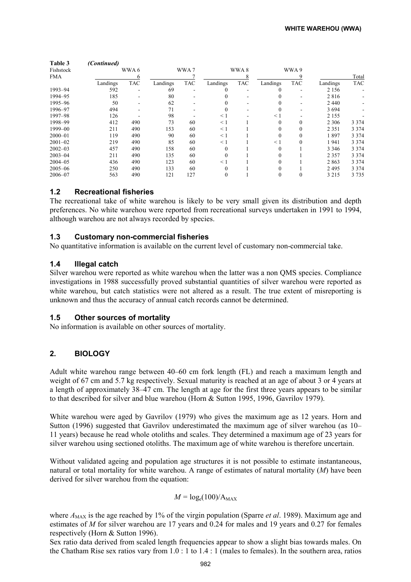| Table 3     | (Continued) |            |          |            |          |            |          |            |          |            |
|-------------|-------------|------------|----------|------------|----------|------------|----------|------------|----------|------------|
| Fishstock   |             | WWA 6      |          | WWA7       |          | WWA8       |          | WWA 9      |          |            |
| <b>FMA</b>  |             | 6          |          |            |          | 8          |          |            |          | Total      |
|             | Landings    | <b>TAC</b> | Landings | <b>TAC</b> | Landings | <b>TAC</b> | Landings | <b>TAC</b> | Landings | <b>TAC</b> |
| 1993-94     | 592         |            | 69       |            |          |            |          |            | 2 1 5 6  |            |
| 1994-95     | 185         |            | 80       |            |          |            |          |            | 2816     |            |
| 1995-96     | 50          |            | 62       |            |          |            |          |            | 2440     |            |
| 1996-97     | 494         |            | 71       |            |          |            |          |            | 3694     |            |
| 1997-98     | 126         |            | 98       |            | $\leq$ 1 |            | < 1      |            | 2 1 5 5  |            |
| 1998-99     | 412         | 490        | 73       | 60         | $\leq$ 1 |            | 0        |            | 2 3 0 6  | 3 3 7 4    |
| 1999-00     | 211         | 490        | 153      | 60         | $\leq$ 1 |            |          |            | 2 3 5 1  | 3 3 7 4    |
| $2000 - 01$ | 119         | 490        | 90       | 60         | $\leq$ 1 |            |          |            | 1897     | 3 3 7 4    |
| $2001 - 02$ | 219         | 490        | 85       | 60         | $\leq$ 1 |            | $\leq$ 1 | $\Omega$   | 1941     | 3 3 7 4    |
| $2002 - 03$ | 457         | 490        | 158      | 60         | $\Omega$ |            |          |            | 3 3 4 6  | 3 3 7 4    |
| $2003 - 04$ | 211         | 490        | 135      | 60         | $\Omega$ |            |          |            | 2 3 5 7  | 3 3 7 4    |
| $2004 - 05$ | 436         | 490        | 123      | 60         | $\leq$ 1 |            |          |            | 2863     | 3 3 7 4    |
| $2005 - 06$ | 250         | 490        | 133      | 60         | $\Omega$ |            |          |            | 2495     | 3 3 7 4    |
| $2006 - 07$ | 563         | 490        | 121      | 127        | $\theta$ |            | $\theta$ |            | 3 2 1 5  | 3 7 3 5    |

### 1.2 Recreational fisheries

The recreational take of white warehou is likely to be very small given its distribution and depth preferences. No white warehou were reported from recreational surveys undertaken in 1991 to 1994, although warehou are not always recorded by species.

### 1.3 Customary non-commercial fisheries

No quantitative information is available on the current level of customary non-commercial take.

### 1.4 Illegal catch

Silver warehou were reported as white warehou when the latter was a non QMS species. Compliance investigations in 1988 successfully proved substantial quantities of silver warehou were reported as white warehou, but catch statistics were not altered as a result. The true extent of misreporting is unknown and thus the accuracy of annual catch records cannot be determined.

### 1.5 Other sources of mortality

No information is available on other sources of mortality.

# 2. BIOLOGY

Adult white warehou range between 40–60 cm fork length (FL) and reach a maximum length and weight of 67 cm and 5.7 kg respectively. Sexual maturity is reached at an age of about 3 or 4 years at a length of approximately 38–47 cm. The length at age for the first three years appears to be similar to that described for silver and blue warehou (Horn & Sutton 1995, 1996, Gavrilov 1979).

White warehou were aged by Gavrilov (1979) who gives the maximum age as 12 years. Horn and Sutton (1996) suggested that Gavrilov underestimated the maximum age of silver warehou (as 10– 11 years) because he read whole otoliths and scales. They determined a maximum age of 23 years for silver warehou using sectioned otoliths. The maximum age of white warehou is therefore uncertain.

Without validated ageing and population age structures it is not possible to estimate instantaneous, natural or total mortality for white warehou. A range of estimates of natural mortality (M) have been derived for silver warehou from the equation:

### $M = log<sub>e</sub>(100)/A<sub>MAX</sub>$

where  $A_{MAX}$  is the age reached by 1% of the virgin population (Sparre *et al.* 1989). Maximum age and estimates of M for silver warehou are 17 years and 0.24 for males and 19 years and 0.27 for females respectively (Horn & Sutton 1996).

Sex ratio data derived from scaled length frequencies appear to show a slight bias towards males. On the Chatham Rise sex ratios vary from 1.0 : 1 to 1.4 : 1 (males to females). In the southern area, ratios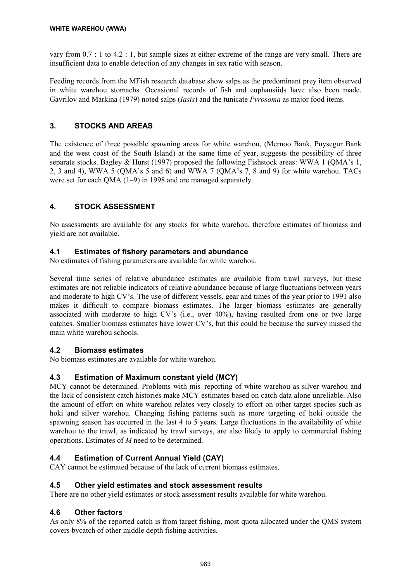vary from 0.7 : 1 to 4.2 : 1, but sample sizes at either extreme of the range are very small. There are insufficient data to enable detection of any changes in sex ratio with season.

Feeding records from the MFish research database show salps as the predominant prey item observed in white warehou stomachs. Occasional records of fish and euphausiids have also been made. Gavrilov and Markina (1979) noted salps (*Iasis*) and the tunicate *Pyrosoma* as major food items.

# 3. STOCKS AND AREAS

The existence of three possible spawning areas for white warehou, (Mernoo Bank, Puysegur Bank and the west coast of the South Island) at the same time of year, suggests the possibility of three separate stocks. Bagley & Hurst (1997) proposed the following Fishstock areas: WWA 1 (QMA's 1, 2, 3 and 4), WWA 5 (QMA's 5 and 6) and WWA 7 (QMA's 7, 8 and 9) for white warehou. TACs were set for each QMA (1–9) in 1998 and are managed separately.

# 4. STOCK ASSESSMENT

No assessments are available for any stocks for white warehou, therefore estimates of biomass and yield are not available.

# 4.1 Estimates of fishery parameters and abundance

No estimates of fishing parameters are available for white warehou.

Several time series of relative abundance estimates are available from trawl surveys, but these estimates are not reliable indicators of relative abundance because of large fluctuations between years and moderate to high CV's. The use of different vessels, gear and times of the year prior to 1991 also makes it difficult to compare biomass estimates. The larger biomass estimates are generally associated with moderate to high CV's (i.e., over 40%), having resulted from one or two large catches. Smaller biomass estimates have lower CV's, but this could be because the survey missed the main white warehou schools.

# 4.2 Biomass estimates

No biomass estimates are available for white warehou.

# 4.3 Estimation of Maximum constant yield (MCY)

MCY cannot be determined. Problems with mis–reporting of white warehou as silver warehou and the lack of consistent catch histories make MCY estimates based on catch data alone unreliable. Also the amount of effort on white warehou relates very closely to effort on other target species such as hoki and silver warehou. Changing fishing patterns such as more targeting of hoki outside the spawning season has occurred in the last 4 to 5 years. Large fluctuations in the availability of white warehou to the trawl, as indicated by trawl surveys, are also likely to apply to commercial fishing operations. Estimates of M need to be determined.

# 4.4 Estimation of Current Annual Yield (CAY)

CAY cannot be estimated because of the lack of current biomass estimates.

# 4.5 Other yield estimates and stock assessment results

There are no other yield estimates or stock assessment results available for white warehou.

# 4.6 Other factors

As only 8% of the reported catch is from target fishing, most quota allocated under the QMS system covers bycatch of other middle depth fishing activities.